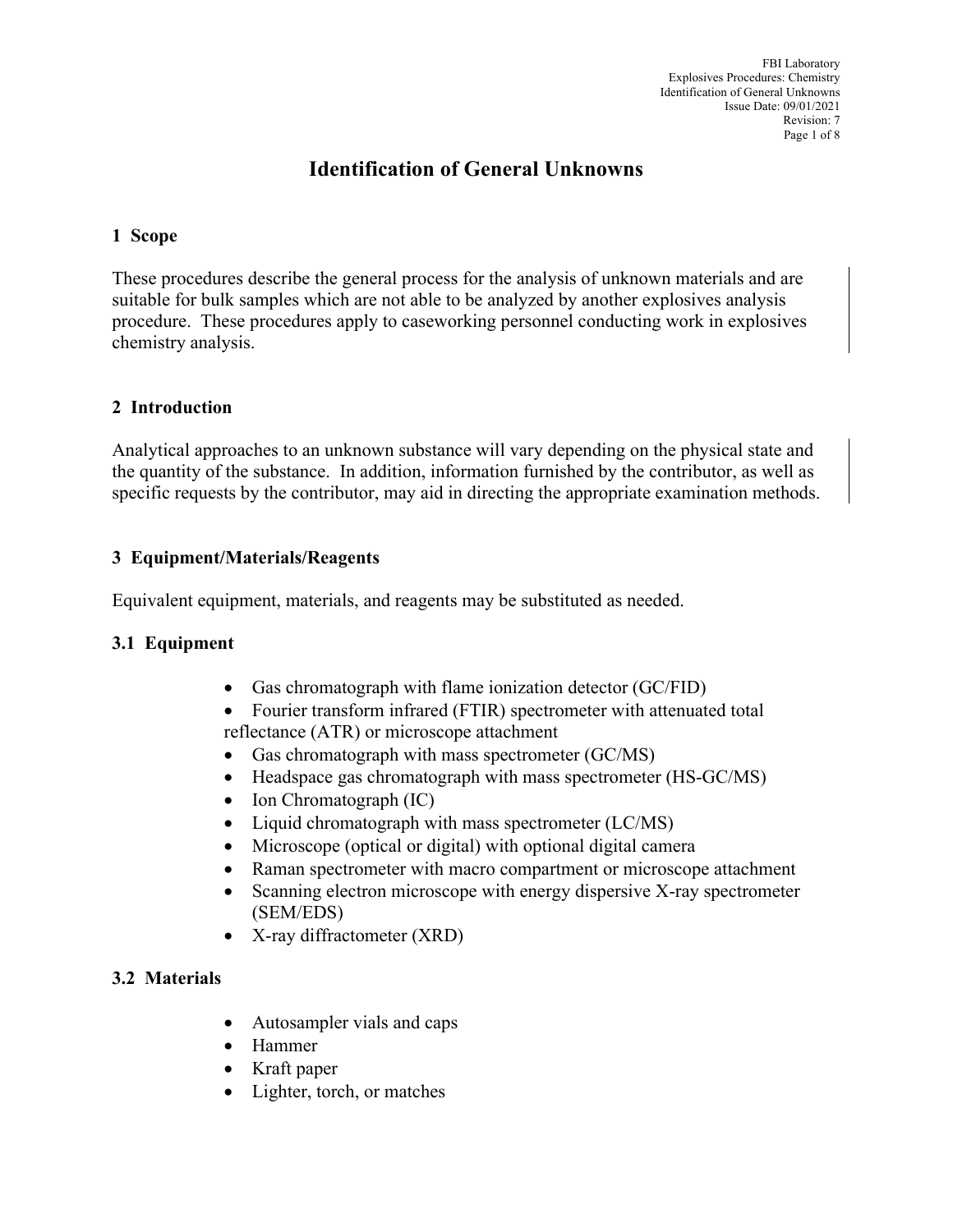# **Identification of General Unknowns**

### **1 Scope**

These procedures describe the general process for the analysis of unknown materials and are suitable for bulk samples which are not able to be analyzed by another explosives analysis procedure. These procedures apply to caseworking personnel conducting work in explosives chemistry analysis.

### **2 Introduction**

Analytical approaches to an unknown substance will vary depending on the physical state and the quantity of the substance. In addition, information furnished by the contributor, as well as specific requests by the contributor, may aid in directing the appropriate examination methods.

### **3 Equipment/Materials/Reagents**

Equivalent equipment, materials, and reagents may be substituted as needed.

#### **3.1 Equipment**

- Gas chromatograph with flame ionization detector (GC/FID)
- Fourier transform infrared (FTIR) spectrometer with attenuated total reflectance (ATR) or microscope attachment
- Gas chromatograph with mass spectrometer (GC/MS)
- Headspace gas chromatograph with mass spectrometer (HS-GC/MS)
- Ion Chromatograph (IC)
- Liquid chromatograph with mass spectrometer (LC/MS)
- Microscope (optical or digital) with optional digital camera
- Raman spectrometer with macro compartment or microscope attachment
- Scanning electron microscope with energy dispersive X-ray spectrometer (SEM/EDS)
- X-ray diffractometer (XRD)

### **3.2 Materials**

- Autosampler vials and caps
- Hammer
- Kraft paper
- Lighter, torch, or matches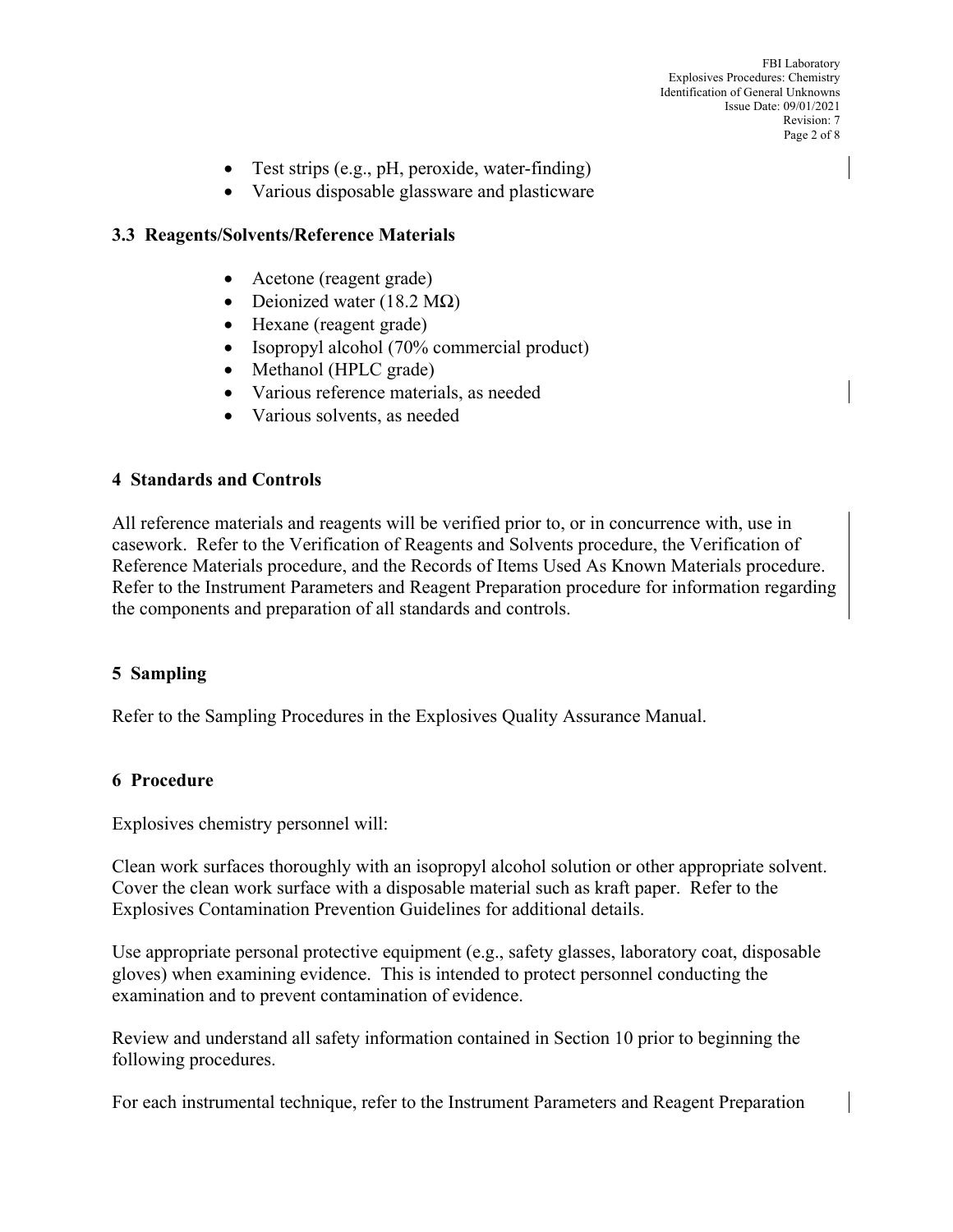FBI Laboratory Explosives Procedures: Chemistry Identification of General Unknowns Issue Date: 09/01/2021 Revision: 7 Page 2 of 8

- Test strips (e.g., pH, peroxide, water-finding)
- Various disposable glassware and plasticware

### **3.3 Reagents/Solvents/Reference Materials**

- Acetone (reagent grade)
- Deionized water (18.2 M $\Omega$ )
- Hexane (reagent grade)
- Isopropyl alcohol (70% commercial product)
- Methanol (HPLC grade)
- Various reference materials, as needed
- Various solvents, as needed

#### **4 Standards and Controls**

All reference materials and reagents will be verified prior to, or in concurrence with, use in casework. Refer to the Verification of Reagents and Solvents procedure, the Verification of Reference Materials procedure, and the Records of Items Used As Known Materials procedure. Refer to the Instrument Parameters and Reagent Preparation procedure for information regarding the components and preparation of all standards and controls.

#### **5 Sampling**

Refer to the Sampling Procedures in the Explosives Quality Assurance Manual.

#### **6 Procedure**

Explosives chemistry personnel will:

Clean work surfaces thoroughly with an isopropyl alcohol solution or other appropriate solvent. Cover the clean work surface with a disposable material such as kraft paper. Refer to the Explosives Contamination Prevention Guidelines for additional details.

Use appropriate personal protective equipment (e.g., safety glasses, laboratory coat, disposable gloves) when examining evidence. This is intended to protect personnel conducting the examination and to prevent contamination of evidence.

Review and understand all safety information contained in Section 10 prior to beginning the following procedures.

For each instrumental technique, refer to the Instrument Parameters and Reagent Preparation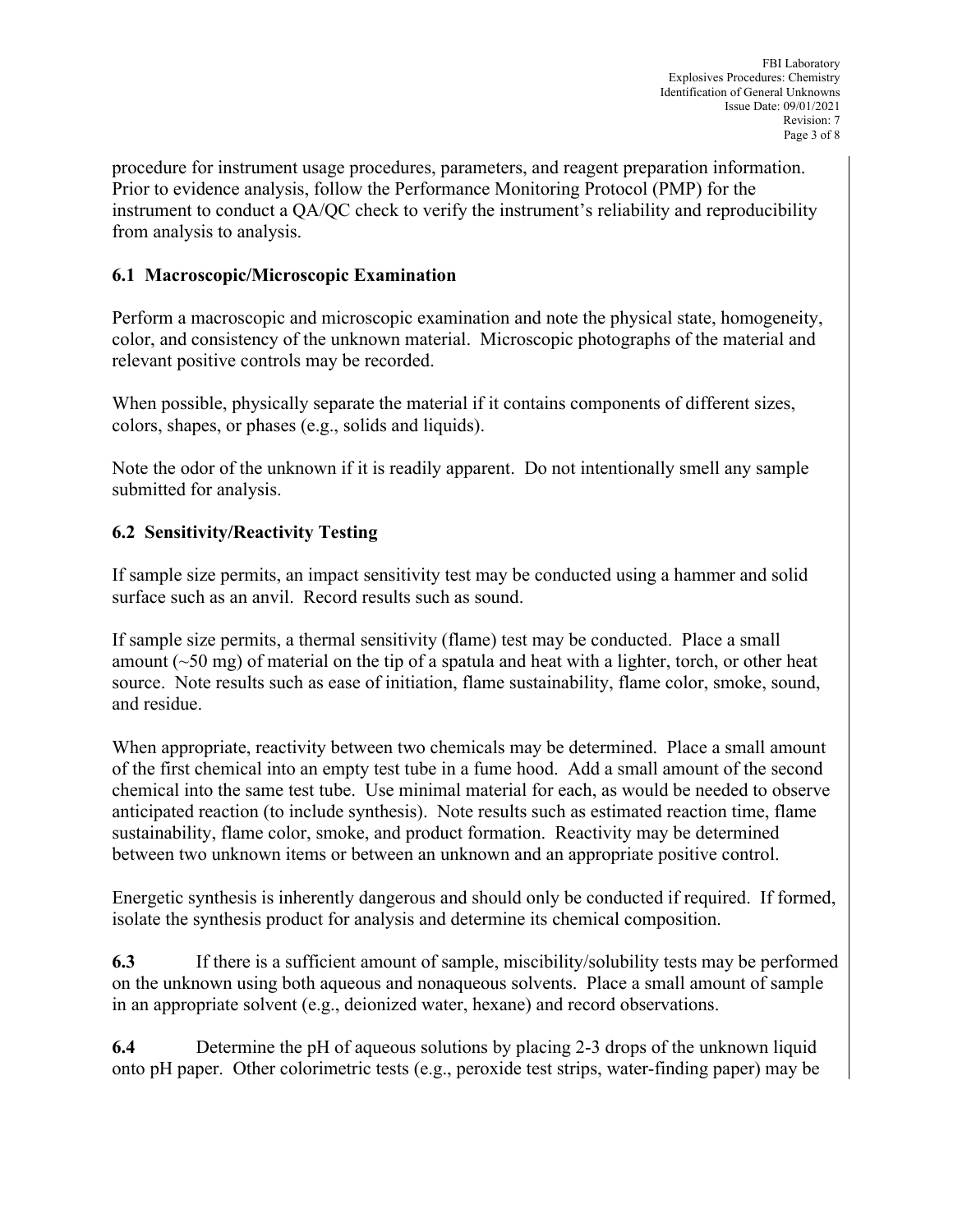procedure for instrument usage procedures, parameters, and reagent preparation information. Prior to evidence analysis, follow the Performance Monitoring Protocol (PMP) for the instrument to conduct a QA/QC check to verify the instrument's reliability and reproducibility from analysis to analysis.

### **6.1 Macroscopic/Microscopic Examination**

Perform a macroscopic and microscopic examination and note the physical state, homogeneity, color, and consistency of the unknown material. Microscopic photographs of the material and relevant positive controls may be recorded.

When possible, physically separate the material if it contains components of different sizes, colors, shapes, or phases (e.g., solids and liquids).

Note the odor of the unknown if it is readily apparent. Do not intentionally smell any sample submitted for analysis.

## **6.2 Sensitivity/Reactivity Testing**

If sample size permits, an impact sensitivity test may be conducted using a hammer and solid surface such as an anvil. Record results such as sound.

If sample size permits, a thermal sensitivity (flame) test may be conducted. Place a small amount  $(\sim 50 \text{ mg})$  of material on the tip of a spatula and heat with a lighter, torch, or other heat source. Note results such as ease of initiation, flame sustainability, flame color, smoke, sound, and residue.

When appropriate, reactivity between two chemicals may be determined. Place a small amount of the first chemical into an empty test tube in a fume hood. Add a small amount of the second chemical into the same test tube. Use minimal material for each, as would be needed to observe anticipated reaction (to include synthesis). Note results such as estimated reaction time, flame sustainability, flame color, smoke, and product formation. Reactivity may be determined between two unknown items or between an unknown and an appropriate positive control.

Energetic synthesis is inherently dangerous and should only be conducted if required. If formed, isolate the synthesis product for analysis and determine its chemical composition.

**6.3** If there is a sufficient amount of sample, miscibility/solubility tests may be performed on the unknown using both aqueous and nonaqueous solvents. Place a small amount of sample in an appropriate solvent (e.g., deionized water, hexane) and record observations.

**6.4** Determine the pH of aqueous solutions by placing 2-3 drops of the unknown liquid onto pH paper. Other colorimetric tests (e.g., peroxide test strips, water-finding paper) may be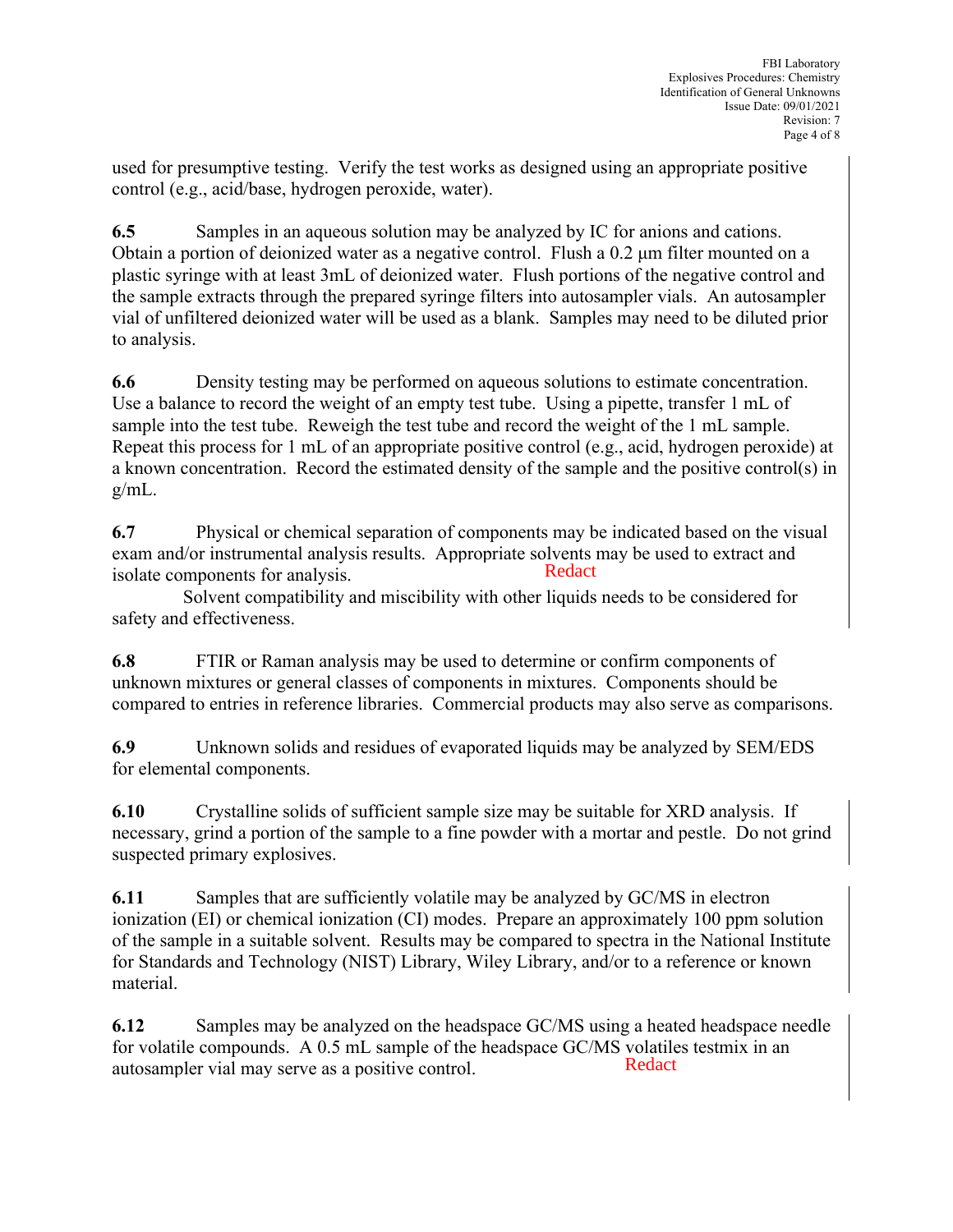used for presumptive testing. Verify the test works as designed using an appropriate positive control (e.g., acid/base, hydrogen peroxide, water).

**6.5** Samples in an aqueous solution may be analyzed by IC for anions and cations. Obtain a portion of deionized water as a negative control. Flush a 0.2 μm filter mounted on a plastic syringe with at least 3mL of deionized water. Flush portions of the negative control and the sample extracts through the prepared syringe filters into autosampler vials. An autosampler vial of unfiltered deionized water will be used as a blank. Samples may need to be diluted prior to analysis.

**6.6** Density testing may be performed on aqueous solutions to estimate concentration. Use a balance to record the weight of an empty test tube. Using a pipette, transfer 1 mL of sample into the test tube. Reweigh the test tube and record the weight of the 1 mL sample. Repeat this process for 1 mL of an appropriate positive control (e.g., acid, hydrogen peroxide) at a known concentration. Record the estimated density of the sample and the positive control(s) in g/mL.

**6.7** Physical or chemical separation of components may be indicated based on the visual exam and/or instrumental analysis results. Appropriate solvents may be used to extract and isolate components for analysis. Redact

 Solvent compatibility and miscibility with other liquids needs to be considered for safety and effectiveness.

**6.8** FTIR or Raman analysis may be used to determine or confirm components of unknown mixtures or general classes of components in mixtures. Components should be compared to entries in reference libraries. Commercial products may also serve as comparisons.

**6.9** Unknown solids and residues of evaporated liquids may be analyzed by SEM/EDS for elemental components.

**6.10** Crystalline solids of sufficient sample size may be suitable for XRD analysis. If necessary, grind a portion of the sample to a fine powder with a mortar and pestle. Do not grind suspected primary explosives.

**6.11** Samples that are sufficiently volatile may be analyzed by GC/MS in electron ionization (EI) or chemical ionization (CI) modes. Prepare an approximately 100 ppm solution of the sample in a suitable solvent. Results may be compared to spectra in the National Institute for Standards and Technology (NIST) Library, Wiley Library, and/or to a reference or known material.

**6.12** Samples may be analyzed on the headspace GC/MS using a heated headspace needle for volatile compounds. A 0.5 mL sample of the headspace GC/MS volatiles testmix in an autosampler vial may serve as a positive control. Redact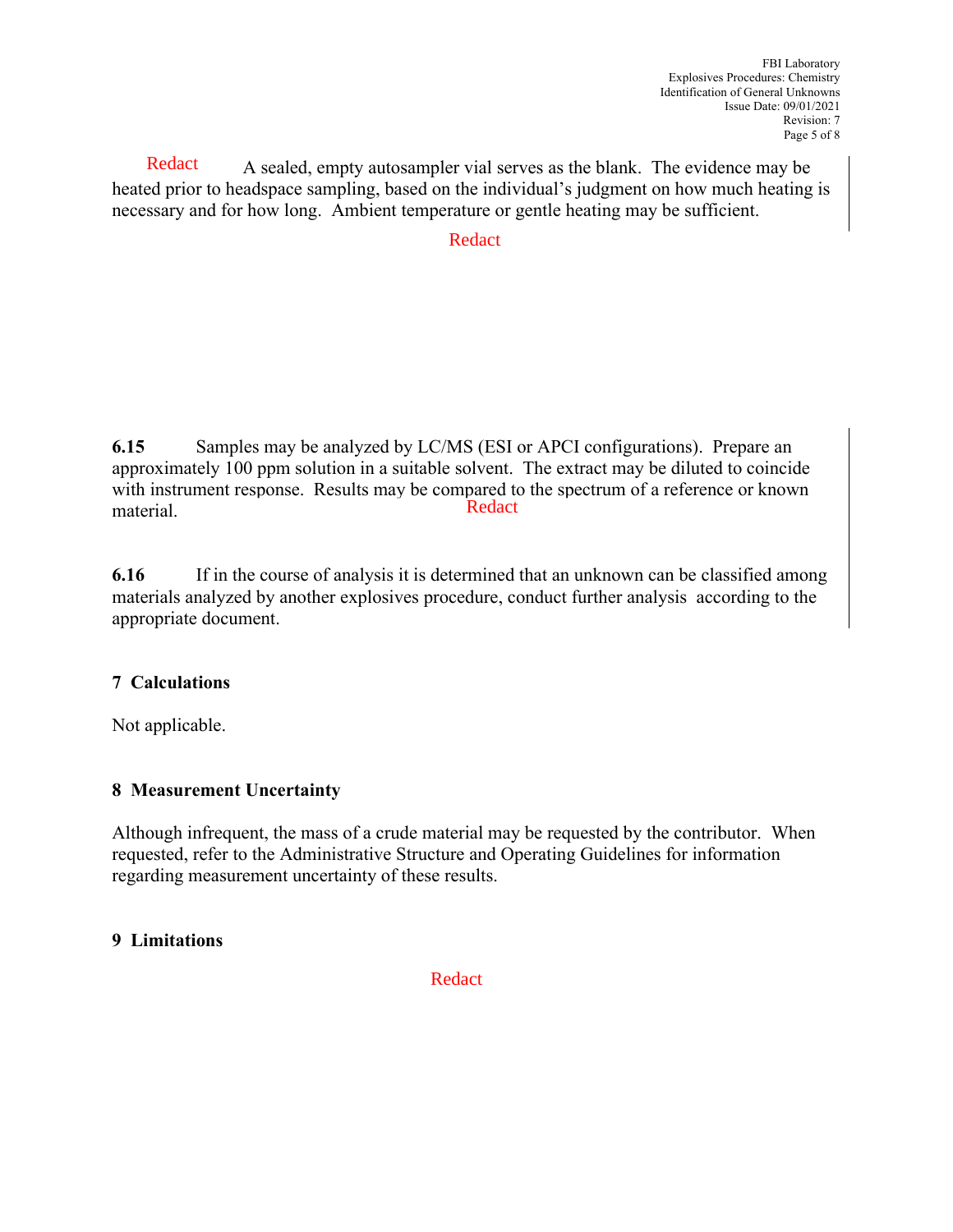A sealed, empty autosampler vial serves as the blank. The evidence may be heated prior to headspace sampling, based on the individual's judgment on how much heating is necessary and for how long. Ambient temperature or gentle heating may be sufficient. **Redact** 

### Redact

**6.15** Samples may be analyzed by LC/MS (ESI or APCI configurations). Prepare an approximately 100 ppm solution in a suitable solvent. The extract may be diluted to coincide with instrument response. Results may be compared to the spectrum of a reference or known material. Redact

**6.16** If in the course of analysis it is determined that an unknown can be classified among materials analyzed by another explosives procedure, conduct further analysis according to the appropriate document.

### **7 Calculations**

Not applicable.

#### **8 Measurement Uncertainty**

Although infrequent, the mass of a crude material may be requested by the contributor. When requested, refer to the Administrative Structure and Operating Guidelines for information regarding measurement uncertainty of these results.

#### **9 Limitations**

Redact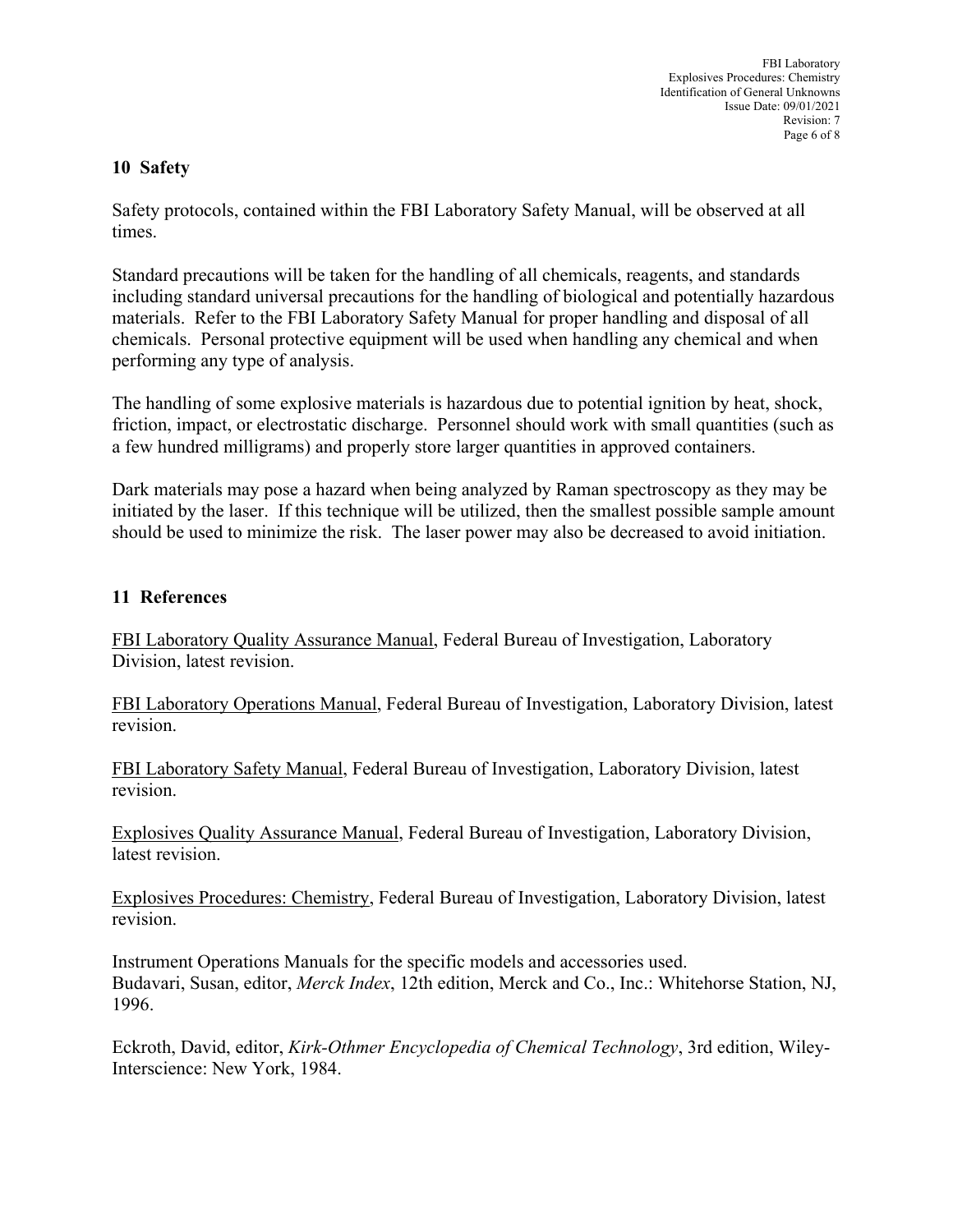FBI Laboratory Explosives Procedures: Chemistry Identification of General Unknowns Issue Date: 09/01/2021 Revision: 7 Page 6 of 8

### **10 Safety**

Safety protocols, contained within the FBI Laboratory Safety Manual, will be observed at all times.

Standard precautions will be taken for the handling of all chemicals, reagents, and standards including standard universal precautions for the handling of biological and potentially hazardous materials. Refer to the FBI Laboratory Safety Manual for proper handling and disposal of all chemicals. Personal protective equipment will be used when handling any chemical and when performing any type of analysis.

The handling of some explosive materials is hazardous due to potential ignition by heat, shock, friction, impact, or electrostatic discharge. Personnel should work with small quantities (such as a few hundred milligrams) and properly store larger quantities in approved containers.

Dark materials may pose a hazard when being analyzed by Raman spectroscopy as they may be initiated by the laser. If this technique will be utilized, then the smallest possible sample amount should be used to minimize the risk. The laser power may also be decreased to avoid initiation.

### **11 References**

FBI Laboratory Quality Assurance Manual, Federal Bureau of Investigation, Laboratory Division, latest revision.

FBI Laboratory Operations Manual, Federal Bureau of Investigation, Laboratory Division, latest revision.

FBI Laboratory Safety Manual, Federal Bureau of Investigation, Laboratory Division, latest revision.

Explosives Quality Assurance Manual, Federal Bureau of Investigation, Laboratory Division, latest revision.

Explosives Procedures: Chemistry, Federal Bureau of Investigation, Laboratory Division, latest revision.

Instrument Operations Manuals for the specific models and accessories used. Budavari, Susan, editor, *Merck Index*, 12th edition, Merck and Co., Inc.: Whitehorse Station, NJ, 1996.

Eckroth, David, editor, *Kirk-Othmer Encyclopedia of Chemical Technology*, 3rd edition, Wiley-Interscience: New York, 1984.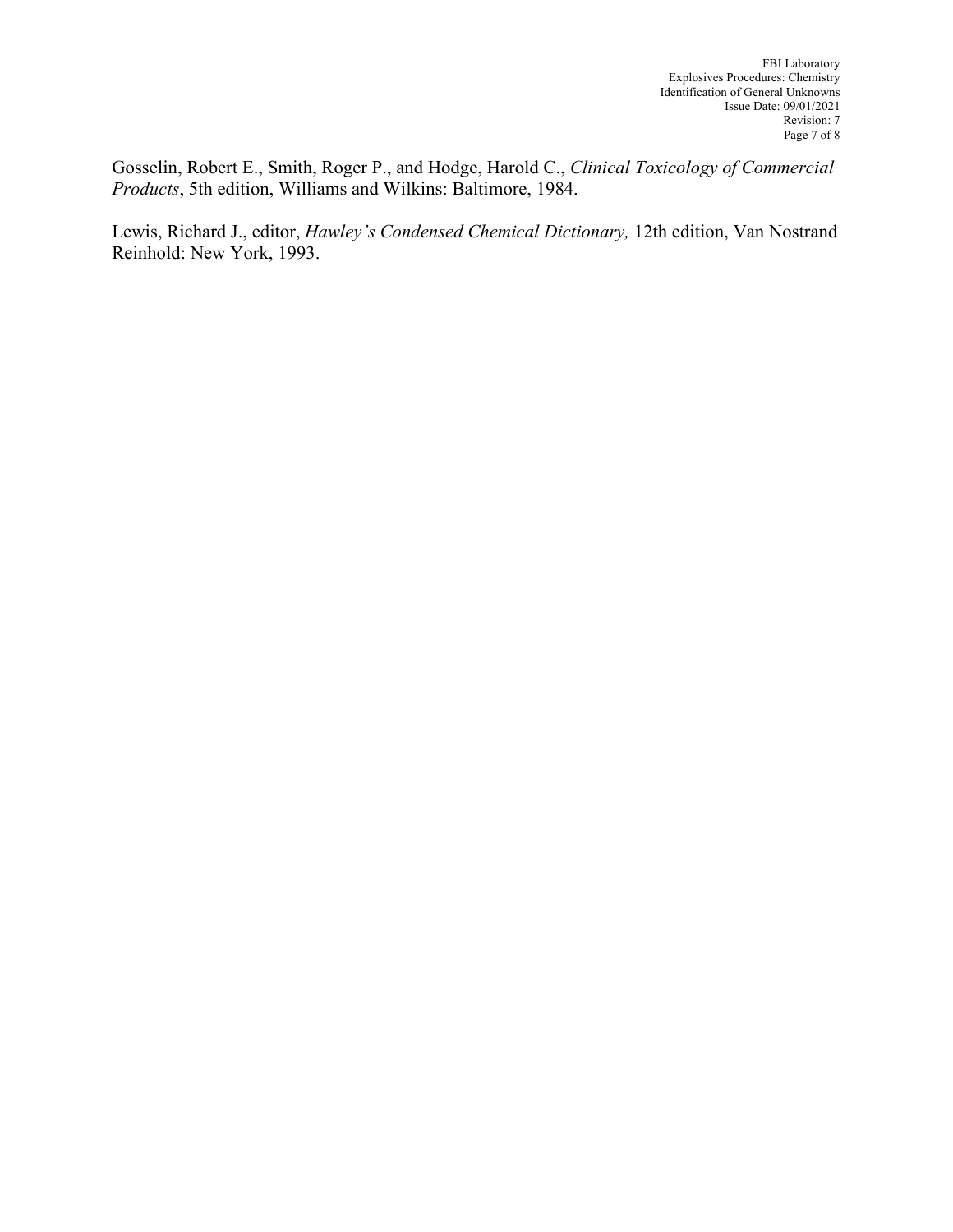Gosselin, Robert E., Smith, Roger P., and Hodge, Harold C., *Clinical Toxicology of Commercial Products*, 5th edition, Williams and Wilkins: Baltimore, 1984.

Lewis, Richard J., editor, *Hawley's Condensed Chemical Dictionary,* 12th edition, Van Nostrand Reinhold: New York, 1993.